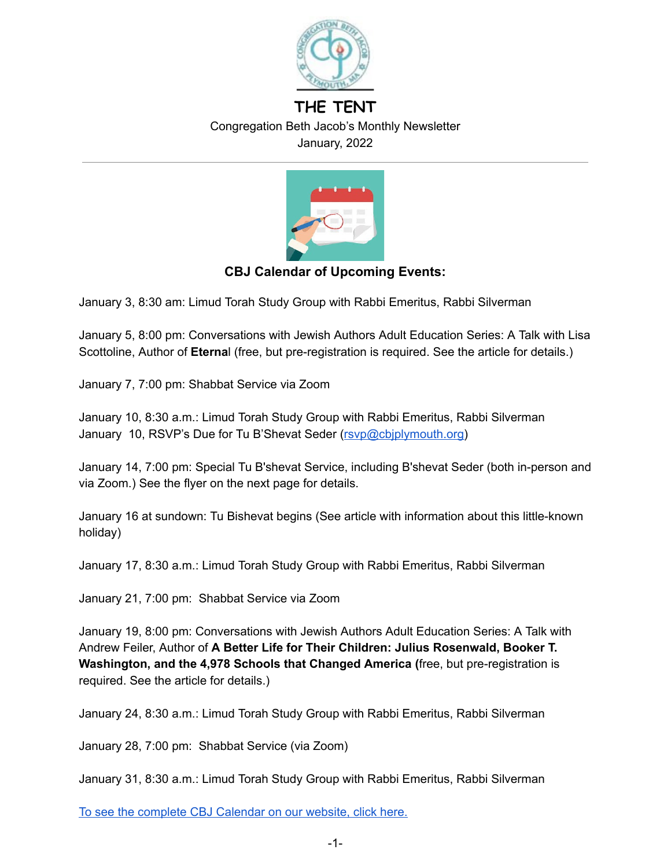

# **THE TENT** Congregation Beth Jacob's Monthly Newsletter January, 2022



## **CBJ Calendar of Upcoming Events:**

January 3, 8:30 am: Limud Torah Study Group with Rabbi Emeritus, Rabbi Silverman

January 5, 8:00 pm: Conversations with Jewish Authors Adult Education Series: A Talk with Lisa Scottoline, Author of **Eterna**l (free, but pre-registration is required. See the article for details.)

January 7, 7:00 pm: Shabbat Service via Zoom

January 10, 8:30 a.m.: Limud Torah Study Group with Rabbi Emeritus, Rabbi Silverman January 10, RSVP's Due for Tu B'Shevat Seder [\(rsvp@cbjplymouth.org\)](mailto:rsvp@cbjplymouth.org)

January 14, 7:00 pm: Special Tu B'shevat Service, including B'shevat Seder (both in-person and via Zoom.) See the flyer on the next page for details.

January 16 at sundown: Tu Bishevat begins (See article with information about this little-known holiday)

January 17, 8:30 a.m.: Limud Torah Study Group with Rabbi Emeritus, Rabbi Silverman

January 21, 7:00 pm: Shabbat Service via Zoom

January 19, 8:00 pm: Conversations with Jewish Authors Adult Education Series: A Talk with Andrew Feiler, Author of **A Better Life for Their Children: Julius Rosenwald, Booker T. Washington, and the 4,978 Schools that Changed America (**free, but pre-registration is required. See the article for details.)

January 24, 8:30 a.m.: Limud Torah Study Group with Rabbi Emeritus, Rabbi Silverman

January 28, 7:00 pm: Shabbat Service (via Zoom)

January 31, 8:30 a.m.: Limud Torah Study Group with Rabbi Emeritus, Rabbi Silverman

To see the complete CBJ [Calendar](https://www.cbjplymouth.org/calendar/upcoming-events) on our website, click here.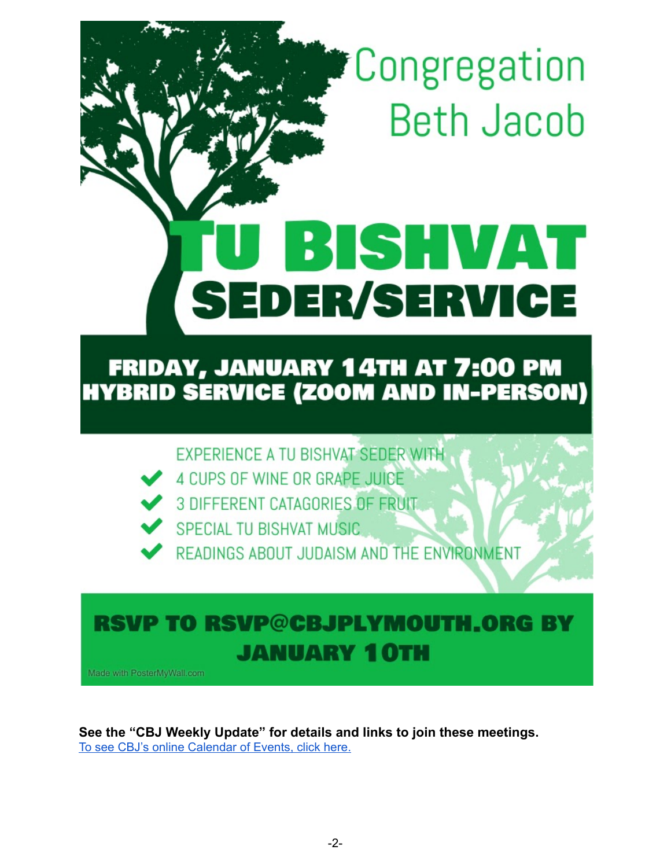*\*Congregation* **Beth Jacob** 

# BISHVAT **SEDER/SERVICE**

# **FRIDAY, JANUARY 14TH AT 7:00 PM HYBRID SERVICE (ZOOM AND IN-PERSON)**

EXPERIENCE A TU BISHVAT SEDER WITH

- 4 CUPS OF WINE OR GRAPE JUICE
- **3 DIFFERENT CATAGORIES OF FRUIT**
- SPECIAL TU BISHVAT MUSIC

READINGS ABOUT JUDAISM AND THE ENVIRONMENT

# RSVP TO RSVP@CBJPLYMOUTH.ORG BY **JANUARY 10TH**

Made with PosterMyWall.com

**See the "CBJ Weekly Update" for details and links to join these meetings.** To see CBJ's online [Calendar](https://www.cbjplymouth.org/calendar/full-calendar) of Events, click here.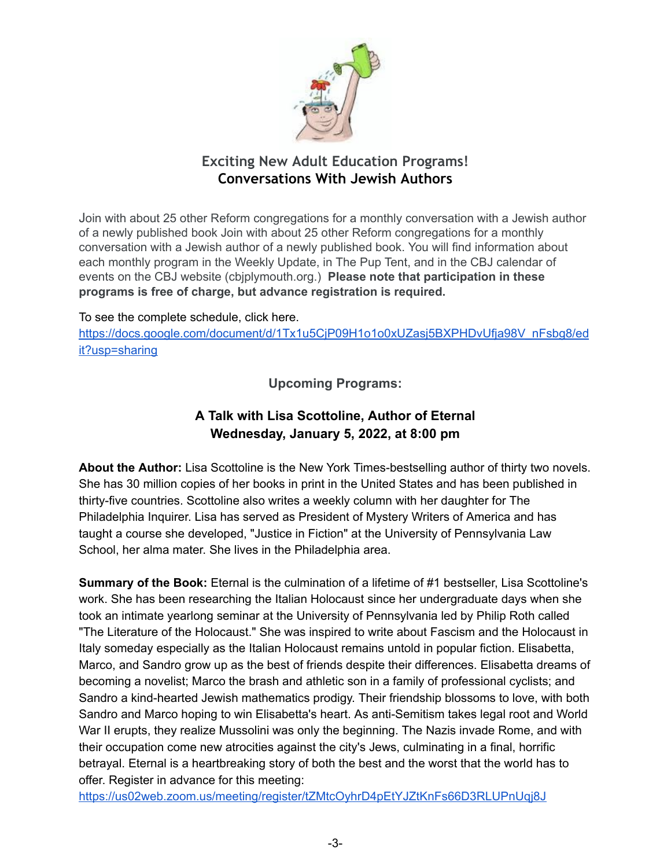

# **Exciting New Adult Education Programs! Conversations With Jewish Authors**

Join with about 25 other Reform congregations for a monthly conversation with a Jewish author of a newly published book Join with about 25 other Reform congregations for a monthly conversation with a Jewish author of a newly published book. You will find information about each monthly program in the Weekly Update, in The Pup Tent, and in the CBJ calendar of events on the CBJ website (cbjplymouth.org.) **Please note that participation in these programs is free of charge, but advance registration is required.**

To see the complete schedule, click here.

[https://docs.google.com/document/d/1Tx1u5CjP09H1o1o0xUZasj5BXPHDvUfja98V\\_nFsbg8/ed](https://docs.google.com/document/d/1Tx1u5CjP09H1o1o0xUZasj5BXPHDvUfja98V_nFsbg8/edit?usp=sharing) [it?usp=sharing](https://docs.google.com/document/d/1Tx1u5CjP09H1o1o0xUZasj5BXPHDvUfja98V_nFsbg8/edit?usp=sharing)

**Upcoming Programs:**

# **A Talk with Lisa Scottoline, Author of Eternal Wednesday, January 5, 2022, at 8:00 pm**

**About the Author:** Lisa Scottoline is the New York Times-bestselling author of thirty two novels. She has 30 million copies of her books in print in the United States and has been published in thirty-five countries. Scottoline also writes a weekly column with her daughter for The Philadelphia Inquirer. Lisa has served as President of Mystery Writers of America and has taught a course she developed, "Justice in Fiction" at the University of Pennsylvania Law School, her alma mater. She lives in the Philadelphia area.

**Summary of the Book:** Eternal is the culmination of a lifetime of #1 bestseller, Lisa Scottoline's work. She has been researching the Italian Holocaust since her undergraduate days when she took an intimate yearlong seminar at the University of Pennsylvania led by Philip Roth called "The Literature of the Holocaust." She was inspired to write about Fascism and the Holocaust in Italy someday especially as the Italian Holocaust remains untold in popular fiction. Elisabetta, Marco, and Sandro grow up as the best of friends despite their differences. Elisabetta dreams of becoming a novelist; Marco the brash and athletic son in a family of professional cyclists; and Sandro a kind-hearted Jewish mathematics prodigy. Their friendship blossoms to love, with both Sandro and Marco hoping to win Elisabetta's heart. As anti-Semitism takes legal root and World War II erupts, they realize Mussolini was only the beginning. The Nazis invade Rome, and with their occupation come new atrocities against the city's Jews, culminating in a final, horrific betrayal. Eternal is a heartbreaking story of both the best and the worst that the world has to offer. Register in advance for this meeting:

<https://us02web.zoom.us/meeting/register/tZMtcOyhrD4pEtYJZtKnFs66D3RLUPnUqj8J>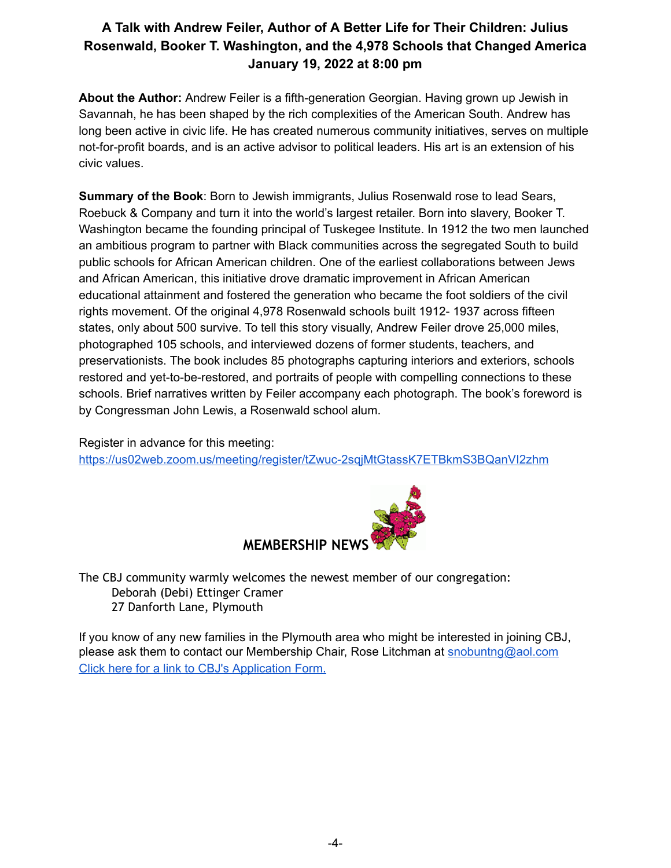# **A Talk with Andrew Feiler, Author of A Better Life for Their Children: Julius Rosenwald, Booker T. Washington, and the 4,978 Schools that Changed America January 19, 2022 at 8:00 pm**

**About the Author:** Andrew Feiler is a fifth-generation Georgian. Having grown up Jewish in Savannah, he has been shaped by the rich complexities of the American South. Andrew has long been active in civic life. He has created numerous community initiatives, serves on multiple not-for-profit boards, and is an active advisor to political leaders. His art is an extension of his civic values.

**Summary of the Book**: Born to Jewish immigrants, Julius Rosenwald rose to lead Sears, Roebuck & Company and turn it into the world's largest retailer. Born into slavery, Booker T. Washington became the founding principal of Tuskegee Institute. In 1912 the two men launched an ambitious program to partner with Black communities across the segregated South to build public schools for African American children. One of the earliest collaborations between Jews and African American, this initiative drove dramatic improvement in African American educational attainment and fostered the generation who became the foot soldiers of the civil rights movement. Of the original 4,978 Rosenwald schools built 1912- 1937 across fifteen states, only about 500 survive. To tell this story visually, Andrew Feiler drove 25,000 miles, photographed 105 schools, and interviewed dozens of former students, teachers, and preservationists. The book includes 85 photographs capturing interiors and exteriors, schools restored and yet-to-be-restored, and portraits of people with compelling connections to these schools. Brief narratives written by Feiler accompany each photograph. The book's foreword is by Congressman John Lewis, a Rosenwald school alum.

Register in advance for this meeting: <https://us02web.zoom.us/meeting/register/tZwuc-2sqjMtGtassK7ETBkmS3BQanVI2zhm>



The CBJ community warmly welcomes the newest member of our congregation: Deborah (Debi) Ettinger Cramer 27 Danforth Lane, Plymouth

If you know of any new families in the Plymouth area who might be interested in joining CBJ, please ask them to contact our Membership Chair, Rose Litchman at [snobuntng@aol.com](mailto:snobuntng@aol.com) Click here for a link to CBJ's [Application](https://www.cbjplymouth.org/join/membership-form) Form.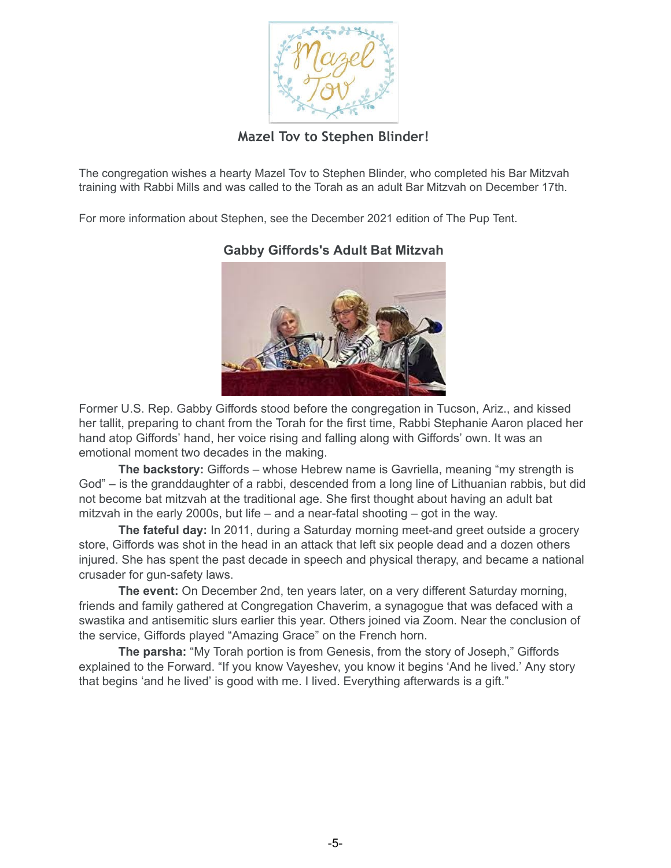

**Mazel Tov to Stephen Blinder!**

The congregation wishes a hearty Mazel Tov to Stephen Blinder, who completed his Bar Mitzvah training with Rabbi Mills and was called to the Torah as an adult Bar Mitzvah on December 17th.

For more information about Stephen, see the December 2021 edition of The Pup Tent.

#### **Gabby Giffords's Adult Bat Mitzvah**



Former U.S. Rep. Gabby Giffords stood before the congregation in Tucson, Ariz., and kissed her tallit, preparing to chant from the Torah for the first time, Rabbi Stephanie Aaron placed her hand atop Giffords' hand, her voice rising and falling along with Giffords' own. It was an emotional moment two decades in the making.

**The backstory:** Giffords – whose Hebrew name is Gavriella, meaning "my strength is God" – is the granddaughter of a rabbi, descended from a long line of Lithuanian rabbis, but did not become bat mitzvah at the traditional age. She first thought about having an adult bat mitzvah in the early 2000s, but life – and a near-fatal shooting – got in the way.

**The fateful day:** In 2011, during a Saturday morning meet-and greet outside a grocery store, Giffords was shot in the head in an attack that left six people dead and a dozen others injured. She has spent the past decade in speech and physical therapy, and became a national crusader for gun-safety laws.

**The event:** On December 2nd, ten years later, on a very different Saturday morning, friends and family gathered at Congregation Chaverim, a synagogue that was defaced with a swastika and antisemitic slurs earlier this year. Others joined via Zoom. Near the conclusion of the service, Giffords played "Amazing Grace" on the French horn.

**The parsha:** "My Torah portion is from Genesis, from the story of Joseph," Giffords explained to the Forward. "If you know Vayeshev, you know it begins 'And he lived.' Any story that begins 'and he lived' is good with me. I lived. Everything afterwards is a gift."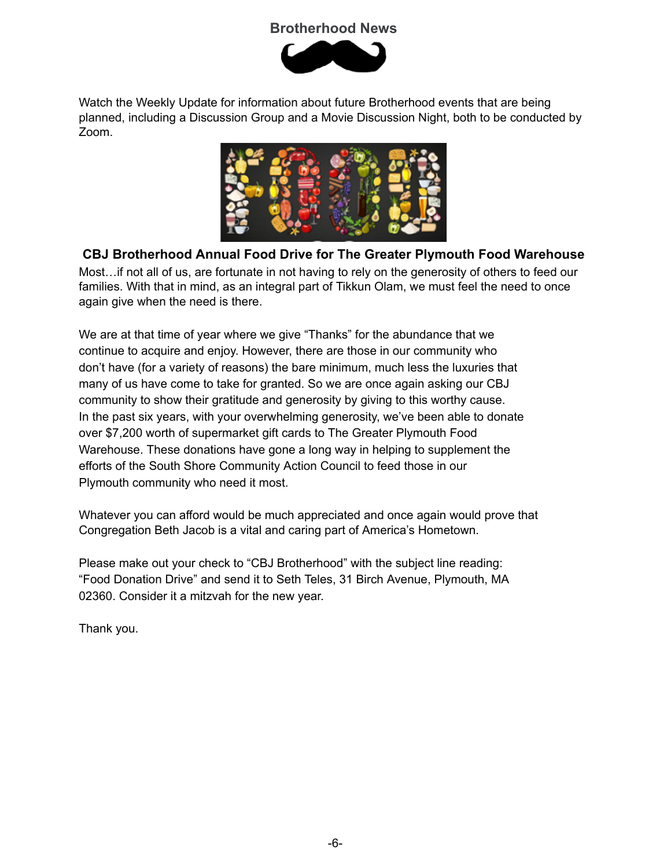# **Brotherhood News**



Watch the Weekly Update for information about future Brotherhood events that are being planned, including a Discussion Group and a Movie Discussion Night, both to be conducted by Zoom.



**CBJ Brotherhood Annual Food Drive for The Greater Plymouth Food Warehouse**

Most…if not all of us, are fortunate in not having to rely on the generosity of others to feed our families. With that in mind, as an integral part of Tikkun Olam, we must feel the need to once again give when the need is there.

We are at that time of year where we give "Thanks" for the abundance that we continue to acquire and enjoy. However, there are those in our community who don't have (for a variety of reasons) the bare minimum, much less the luxuries that many of us have come to take for granted. So we are once again asking our CBJ community to show their gratitude and generosity by giving to this worthy cause. In the past six years, with your overwhelming generosity, we've been able to donate over \$7,200 worth of supermarket gift cards to The Greater Plymouth Food Warehouse. These donations have gone a long way in helping to supplement the efforts of the South Shore Community Action Council to feed those in our Plymouth community who need it most.

Whatever you can afford would be much appreciated and once again would prove that Congregation Beth Jacob is a vital and caring part of America's Hometown.

Please make out your check to "CBJ Brotherhood" with the subject line reading: "Food Donation Drive" and send it to Seth Teles, 31 Birch Avenue, Plymouth, MA 02360. Consider it a mitzvah for the new year.

Thank you.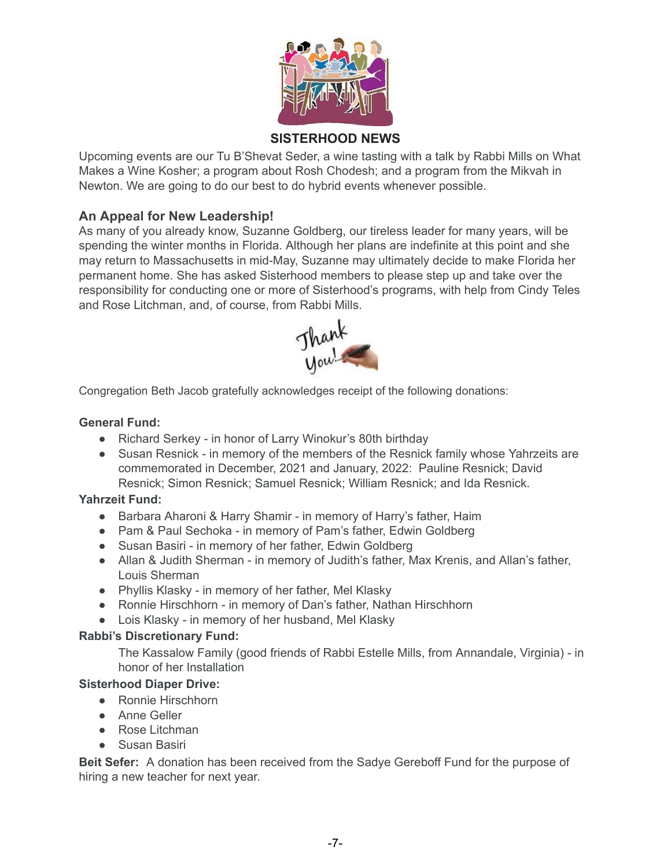

# **SISTERHOOD NEWS**

Upcoming events are our Tu B'Shevat Seder, a wine tasting with a talk by Rabbi Mills on What Makes a Wine Kosher; a program about Rosh Chodesh; and a program from the Mikvah in Newton. We are going to do our best to do hybrid events whenever possible.

#### **An Appeal for New Leadership!**

As many of you already know, Suzanne Goldberg, our tireless leader for many years, will be spending the winter months in Florida. Although her plans are indefinite at this point and she may return to Massachusetts in mid-May, Suzanne may ultimately decide to make Florida her permanent home. She has asked Sisterhood members to please step up and take over the responsibility for conducting one or more of Sisterhood's programs, with help from Cindy Teles and Rose Litchman, and, of course, from Rabbi Mills.



Congregation Beth Jacob gratefully acknowledges receipt of the following donations:

#### **General Fund:**

- Richard Serkey in honor of Larry Winokur's 80th birthday
- Susan Resnick in memory of the members of the Resnick family whose Yahrzeits are commemorated in December, 2021 and January, 2022: Pauline Resnick; David Resnick; Simon Resnick; Samuel Resnick; William Resnick; and Ida Resnick.

#### **Yahrzeit Fund:**

- Barbara Aharoni & Harry Shamir in memory of Harry's father, Haim
- Pam & Paul Sechoka in memory of Pam's father, Edwin Goldberg
- Susan Basiri in memory of her father, Edwin Goldberg
- Allan & Judith Sherman in memory of Judith's father, Max Krenis, and Allan's father, Louis Sherman
- Phyllis Klasky in memory of her father, Mel Klasky
- Ronnie Hirschhorn in memory of Dan's father, Nathan Hirschhorn
- Lois Klasky in memory of her husband, Mel Klasky

#### **Rabbi's Discretionary Fund:**

The Kassalow Family (good friends of Rabbi Estelle Mills, from Annandale, Virginia) - in honor of her Installation

#### **Sisterhood Diaper Drive:**

- Ronnie Hirschhorn
- Anne Geller
- Rose Litchman
- Susan Basiri

**Beit Sefer:** A donation has been received from the Sadye Gereboff Fund for the purpose of hiring a new teacher for next year.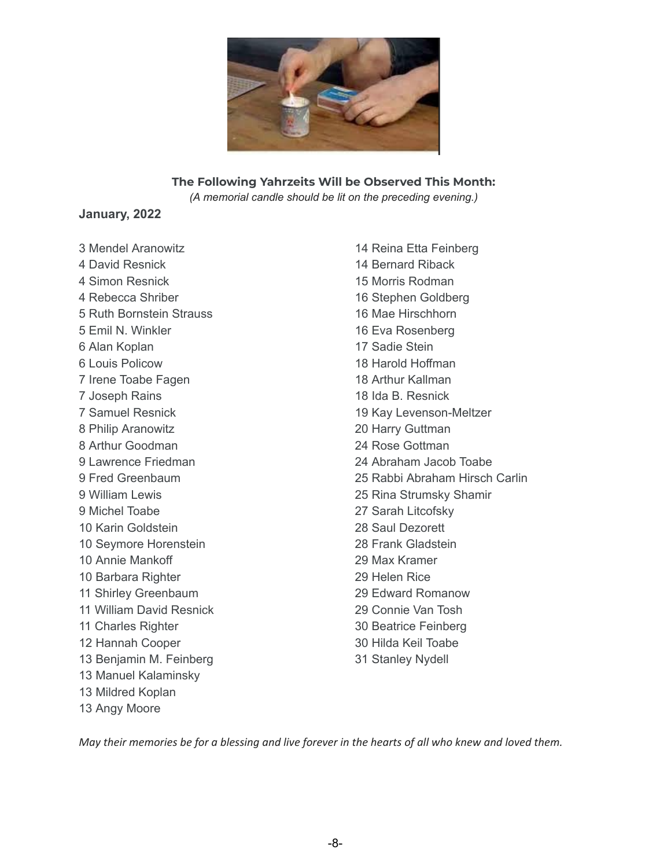

#### **The Following Yahrzeits Will be Observed This Month:**

*(A memorial candle should be lit on the preceding evening.)*

#### **January, 2022**

 Mendel Aranowitz David Resnick Simon Resnick Rebecca Shriber Ruth Bornstein Strauss Emil N. Winkler Alan Koplan Louis Policow Irene Toabe Fagen Joseph Rains Samuel Resnick Philip Aranowitz Arthur Goodman Lawrence Friedman Fred Greenbaum William Lewis Michel Toabe Karin Goldstein Seymore Horenstein Annie Mankoff Barbara Righter Shirley Greenbaum William David Resnick Charles Righter Hannah Cooper Benjamin M. Feinberg Manuel Kalaminsky Mildred Koplan Angy Moore

 Reina Etta Feinberg Bernard Riback Morris Rodman Stephen Goldberg Mae Hirschhorn Eva Rosenberg Sadie Stein Harold Hoffman Arthur Kallman Ida B. Resnick Kay Levenson-Meltzer Harry Guttman Rose Gottman Abraham Jacob Toabe Rabbi Abraham Hirsch Carlin Rina Strumsky Shamir Sarah Litcofsky Saul Dezorett Frank Gladstein Max Kramer Helen Rice Edward Romanow Connie Van Tosh Beatrice Feinberg Hilda Keil Toabe Stanley Nydell

May their memories be for a blessing and live forever in the hearts of all who knew and loved them.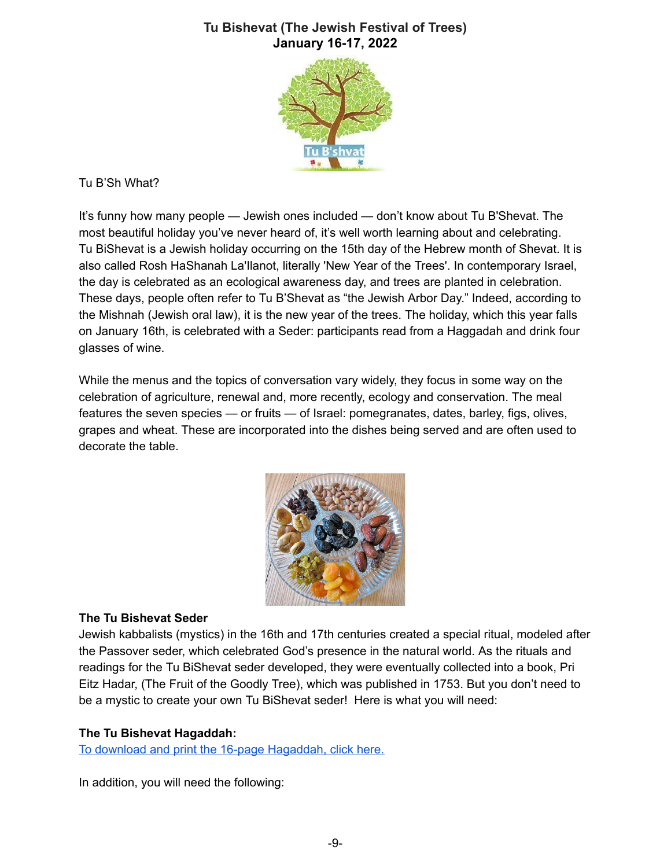## **Tu Bishevat (The Jewish Festival of Trees) January 16-17, 2022**



#### Tu B'Sh What?

It's funny how many people — Jewish ones included — don't know about Tu B'Shevat. The most beautiful holiday you've never heard of, it's well worth learning about and celebrating. Tu BiShevat is a Jewish holiday occurring on the 15th day of the Hebrew month of Shevat. It is also called Rosh HaShanah La'Ilanot, literally 'New Year of the Trees'. In contemporary Israel, the day is celebrated as an ecological awareness day, and trees are planted in celebration. These days, people often refer to Tu B'Shevat as "the Jewish Arbor Day." Indeed, according to the Mishnah (Jewish oral law), it is the new year of the trees. The holiday, which this year falls on January 16th, is celebrated with a Seder: participants read from a Haggadah and drink four glasses of wine.

While the menus and the topics of conversation vary widely, they focus in some way on the celebration of agriculture, renewal and, more recently, ecology and conservation. The meal features the seven species — or fruits — of Israel: pomegranates, dates, barley, figs, olives, grapes and wheat. These are incorporated into the dishes being served and are often used to decorate the table.



#### **The Tu Bishevat Seder**

Jewish kabbalists (mystics) in the 16th and 17th centuries created a special ritual, modeled after the Passover seder, which celebrated God's presence in the natural world. As the rituals and readings for the Tu BiShevat seder developed, they were eventually collected into a book, Pri Eitz Hadar, (The Fruit of the Goodly Tree), which was published in 1753. But you don't need to be a mystic to create your own Tu BiShevat seder! Here is what you will need:

#### **The Tu Bishevat Hagaddah:**

To download and print the 16-page [Hagaddah,](https://drive.google.com/file/d/1RjMNYDdGg78oAmUoAmiN4qmXRS0qMH_D/view?usp=sharing) click here.

In addition, you will need the following: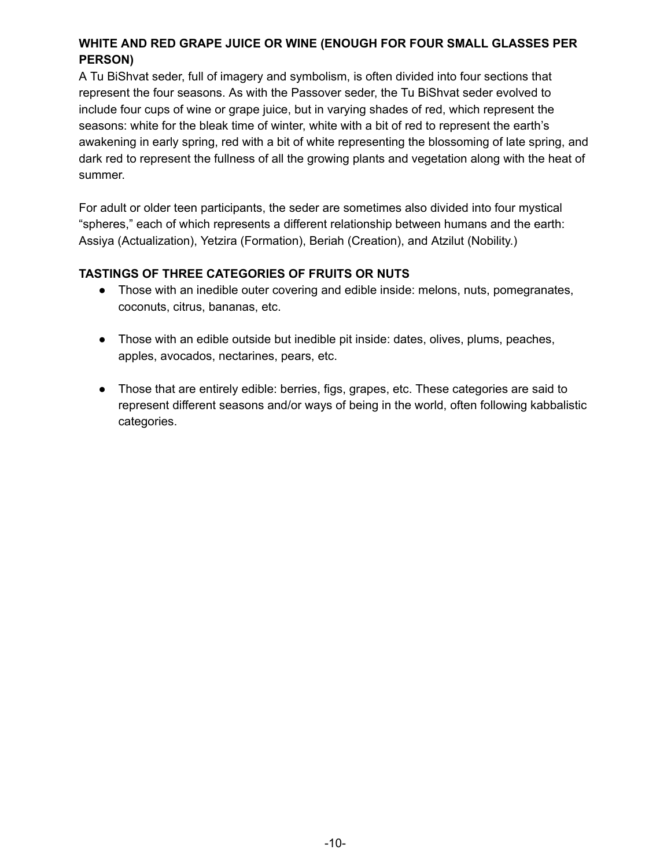## **WHITE AND RED GRAPE JUICE OR WINE (ENOUGH FOR FOUR SMALL GLASSES PER PERSON)**

A Tu BiShvat seder, full of imagery and symbolism, is often divided into four sections that represent the four seasons. As with the Passover seder, the Tu BiShvat seder evolved to include four cups of wine or grape juice, but in varying shades of red, which represent the seasons: white for the bleak time of winter, white with a bit of red to represent the earth's awakening in early spring, red with a bit of white representing the blossoming of late spring, and dark red to represent the fullness of all the growing plants and vegetation along with the heat of summer.

For adult or older teen participants, the seder are sometimes also divided into four mystical "spheres," each of which represents a different relationship between humans and the earth: Assiya (Actualization), Yetzira (Formation), Beriah (Creation), and Atzilut (Nobility.)

#### **TASTINGS OF THREE CATEGORIES OF FRUITS OR NUTS**

- Those with an inedible outer covering and edible inside: melons, nuts, pomegranates, coconuts, citrus, bananas, etc.
- Those with an edible outside but inedible pit inside: dates, olives, plums, peaches, apples, avocados, nectarines, pears, etc.
- Those that are entirely edible: berries, figs, grapes, etc. These categories are said to represent different seasons and/or ways of being in the world, often following kabbalistic categories.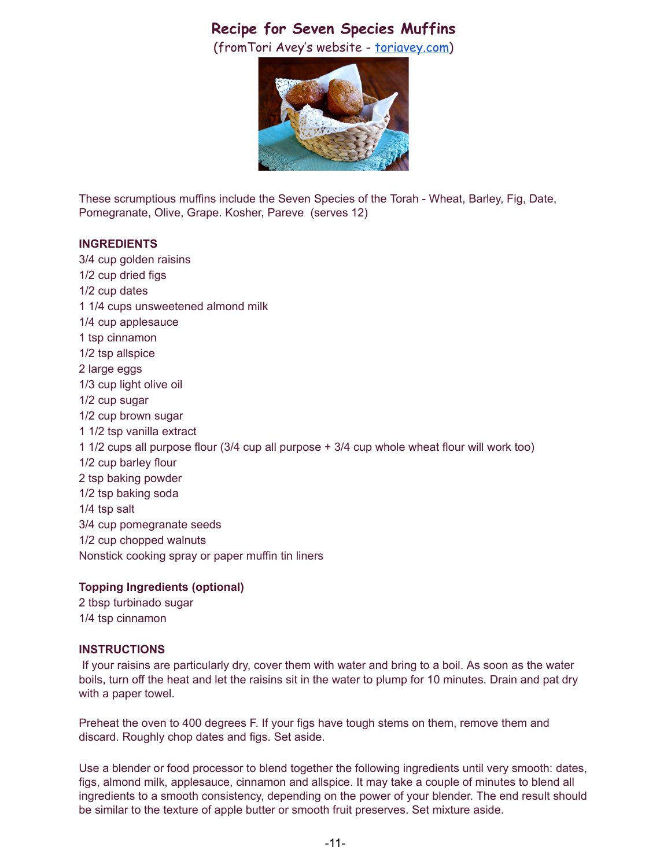# **Recipe for Seven Species Muffins**

(fromTori Avey's website - [toriavey.com\)](http://toriavey.com/)



These scrumptious muffins include the Seven Species of the Torah - Wheat, Barley, Fig, Date, Pomegranate, Olive, Grape. Kosher, Pareve (serves 12)

#### **INGREDIENTS**

3/4 cup golden raisins 1/2 cup dried figs 1/2 cup dates 1 1/4 cups unsweetened almond milk 1/4 cup applesauce 1 tsp cinnamon 1/2 tsp allspice 2 large eggs 1/3 cup light olive oil 1/2 cup sugar 1/2 cup brown sugar 1 1/2 tsp vanilla extract 1 1/2 cups all purpose flour (3/4 cup all purpose + 3/4 cup whole wheat flour will work too) 1/2 cup barley flour 2 tsp baking powder 1/2 tsp baking soda 1/4 tsp salt 3/4 cup pomegranate seeds 1/2 cup chopped walnuts Nonstick cooking spray or paper muffin tin liners

#### **Topping Ingredients (optional)**

2 tbsp turbinado sugar 1/4 tsp cinnamon

#### **INSTRUCTIONS**

If your raisins are particularly dry, cover them with water and bring to a boil. As soon as the water boils, turn off the heat and let the raisins sit in the water to plump for 10 minutes. Drain and pat dry with a paper towel.

Preheat the oven to 400 degrees F. If your figs have tough stems on them, remove them and discard. Roughly chop dates and figs. Set aside.

Use a blender or food processor to blend together the following ingredients until very smooth: dates, figs, almond milk, applesauce, cinnamon and allspice. It may take a couple of minutes to blend all ingredients to a smooth consistency, depending on the power of your blender. The end result should be similar to the texture of apple butter or smooth fruit preserves. Set mixture aside.